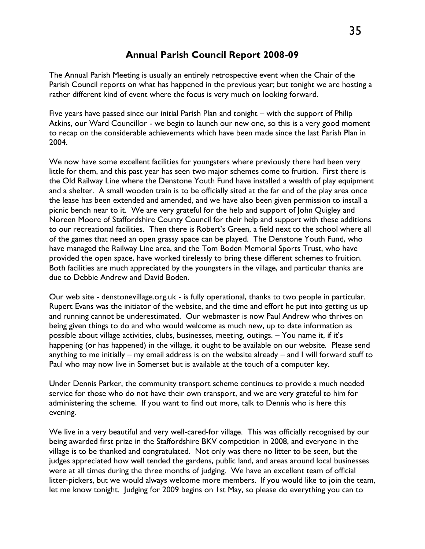## **Annual Parish Council Report 2008-09**

The Annual Parish Meeting is usually an entirely retrospective event when the Chair of the Parish Council reports on what has happened in the previous year; but tonight we are hosting a rather different kind of event where the focus is very much on looking forward.

Five years have passed since our initial Parish Plan and tonight – with the support of Philip Atkins, our Ward Councillor - we begin to launch our new one, so this is a very good moment to recap on the considerable achievements which have been made since the last Parish Plan in 2004.

We now have some excellent facilities for youngsters where previously there had been very little for them, and this past year has seen two major schemes come to fruition. First there is the Old Railway Line where the Denstone Youth Fund have installed a wealth of play equipment and a shelter. A small wooden train is to be officially sited at the far end of the play area once the lease has been extended and amended, and we have also been given permission to install a picnic bench near to it. We are very grateful for the help and support of John Quigley and Noreen Moore of Staffordshire County Council for their help and support with these additions to our recreational facilities. Then there is Robert's Green, a field next to the school where all of the games that need an open grassy space can be played. The Denstone Youth Fund, who have managed the Railway Line area, and the Tom Boden Memorial Sports Trust, who have provided the open space, have worked tirelessly to bring these different schemes to fruition. Both facilities are much appreciated by the youngsters in the village, and particular thanks are due to Debbie Andrew and David Boden.

Our web site - denstonevillage.org.uk - is fully operational, thanks to two people in particular. Rupert Evans was the initiator of the website, and the time and effort he put into getting us up and running cannot be underestimated. Our webmaster is now Paul Andrew who thrives on being given things to do and who would welcome as much new, up to date information as possible about village activities, clubs, businesses, meeting, outings. – You name it, if it's happening (or has happened) in the village, it ought to be available on our website. Please send anything to me initially – my email address is on the website already – and I will forward stuff to Paul who may now live in Somerset but is available at the touch of a computer key.

Under Dennis Parker, the community transport scheme continues to provide a much needed service for those who do not have their own transport, and we are very grateful to him for administering the scheme. If you want to find out more, talk to Dennis who is here this evening.

We live in a very beautiful and very well-cared-for village. This was officially recognised by our being awarded first prize in the Staffordshire BKV competition in 2008, and everyone in the village is to be thanked and congratulated. Not only was there no litter to be seen, but the judges appreciated how well tended the gardens, public land, and areas around local businesses were at all times during the three months of judging. We have an excellent team of official litter-pickers, but we would always welcome more members. If you would like to join the team, let me know tonight. Judging for 2009 begins on 1st May, so please do everything you can to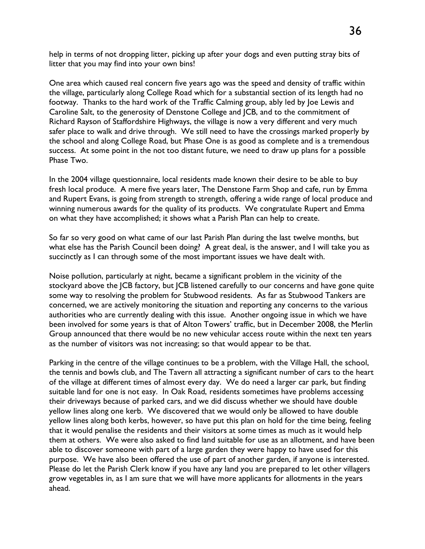help in terms of not dropping litter, picking up after your dogs and even putting stray bits of litter that you may find into your own bins!

One area which caused real concern five years ago was the speed and density of traffic within the village, particularly along College Road which for a substantial section of its length had no footway. Thanks to the hard work of the Traffic Calming group, ably led by Joe Lewis and Caroline Salt, to the generosity of Denstone College and JCB, and to the commitment of Richard Rayson of Staffordshire Highways, the village is now a very different and very much safer place to walk and drive through. We still need to have the crossings marked properly by the school and along College Road, but Phase One is as good as complete and is a tremendous success. At some point in the not too distant future, we need to draw up plans for a possible Phase Two.

In the 2004 village questionnaire, local residents made known their desire to be able to buy fresh local produce. A mere five years later, The Denstone Farm Shop and cafe, run by Emma and Rupert Evans, is going from strength to strength, offering a wide range of local produce and winning numerous awards for the quality of its products. We congratulate Rupert and Emma on what they have accomplished; it shows what a Parish Plan can help to create.

So far so very good on what came of our last Parish Plan during the last twelve months, but what else has the Parish Council been doing? A great deal, is the answer, and I will take you as succinctly as I can through some of the most important issues we have dealt with.

Noise pollution, particularly at night, became a significant problem in the vicinity of the stockyard above the JCB factory, but JCB listened carefully to our concerns and have gone quite some way to resolving the problem for Stubwood residents. As far as Stubwood Tankers are concerned, we are actively monitoring the situation and reporting any concerns to the various authorities who are currently dealing with this issue. Another ongoing issue in which we have been involved for some years is that of Alton Towers' traffic, but in December 2008, the Merlin Group announced that there would be no new vehicular access route within the next ten years as the number of visitors was not increasing; so that would appear to be that.

Parking in the centre of the village continues to be a problem, with the Village Hall, the school, the tennis and bowls club, and The Tavern all attracting a significant number of cars to the heart of the village at different times of almost every day. We do need a larger car park, but finding suitable land for one is not easy. In Oak Road, residents sometimes have problems accessing their driveways because of parked cars, and we did discuss whether we should have double yellow lines along one kerb. We discovered that we would only be allowed to have double yellow lines along both kerbs, however, so have put this plan on hold for the time being, feeling that it would penalise the residents and their visitors at some times as much as it would help them at others. We were also asked to find land suitable for use as an allotment, and have been able to discover someone with part of a large garden they were happy to have used for this purpose. We have also been offered the use of part of another garden, if anyone is interested. Please do let the Parish Clerk know if you have any land you are prepared to let other villagers grow vegetables in, as I am sure that we will have more applicants for allotments in the years ahead.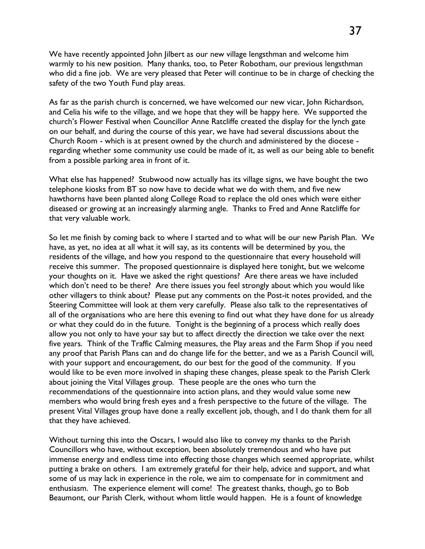We have recently appointed John Jilbert as our new village lengsthman and welcome him warmly to his new position. Many thanks, too, to Peter Robotham, our previous lengsthman who did a fine job. We are very pleased that Peter will continue to be in charge of checking the safety of the two Youth Fund play areas.

As far as the parish church is concerned, we have welcomed our new vicar, John Richardson, and Celia his wife to the village, and we hope that they will be happy here. We supported the church's Flower Festival when Councillor Anne Ratcliffe created the display for the lynch gate on our behalf, and during the course of this year, we have had several discussions about the Church Room - which is at present owned by the church and administered by the diocese regarding whether some community use could be made of it, as well as our being able to benefit from a possible parking area in front of it.

What else has happened? Stubwood now actually has its village signs, we have bought the two telephone kiosks from BT so now have to decide what we do with them, and five new hawthorns have been planted along College Road to replace the old ones which were either diseased or growing at an increasingly alarming angle. Thanks to Fred and Anne Ratcliffe for that very valuable work.

So let me finish by coming back to where I started and to what will be our new Parish Plan. We have, as yet, no idea at all what it will say, as its contents will be determined by you, the residents of the village, and how you respond to the questionnaire that every household will receive this summer. The proposed questionnaire is displayed here tonight, but we welcome your thoughts on it. Have we asked the right questions? Are there areas we have included which don't need to be there? Are there issues you feel strongly about which you would like other villagers to think about? Please put any comments on the Post-it notes provided, and the Steering Committee will look at them very carefully. Please also talk to the representatives of all of the organisations who are here this evening to find out what they have done for us already or what they could do in the future. Tonight is the beginning of a process which really does allow you not only to have your say but to affect directly the direction we take over the next five years. Think of the Traffic Calming measures, the Play areas and the Farm Shop if you need any proof that Parish Plans can and do change life for the better, and we as a Parish Council will, with your support and encouragement, do our best for the good of the community. If you would like to be even more involved in shaping these changes, please speak to the Parish Clerk about joining the Vital Villages group. These people are the ones who turn the recommendations of the questionnaire into action plans, and they would value some new members who would bring fresh eyes and a fresh perspective to the future of the village. The present Vital Villages group have done a really excellent job, though, and I do thank them for all that they have achieved.

Without turning this into the Oscars, I would also like to convey my thanks to the Parish Councillors who have, without exception, been absolutely tremendous and who have put immense energy and endless time into effecting those changes which seemed appropriate, whilst putting a brake on others. I am extremely grateful for their help, advice and support, and what some of us may lack in experience in the role, we aim to compensate for in commitment and enthusiasm. The experience element will come! The greatest thanks, though, go to Bob Beaumont, our Parish Clerk, without whom little would happen. He is a fount of knowledge